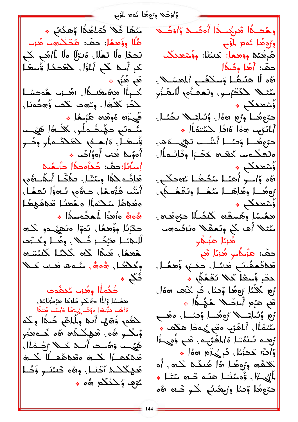وُأُوْحُلا وَرُوهُا شَهِ اوْمِ

مَطْمَا فَلا قَتَمَاهُدُا وَهِذَتِ \* هُلًا وِوَّههُمْ!: حقَّ: هَٰذَكُمُوب هُنِب ثحدًا هلًا تملًا. هُنزُلًا هلًا ۖ أَ/هُبِ ۚ كُبِ كَرِ أَسْمَا كُلِّ أَلَمُوا الْكَعْجَدُا وَّسَعْدَا  $\overset{\circ}{\alpha}$  $\overset{\circ}{\alpha}$  $\overset{\circ}{\alpha}$ كْبِرِلَمَ هُوَمَعَ مَعْلَى اللَّهُ عَلَيْهِ مَعْ هُوَدِسُمْ الْمُ لْكُتْمْ لْلْكُلُهُا. وِمُحْمَد لَكْتُبْ وُحَدَّدُهُا. كَيْدَة هُوهْدَه هَدُهُمْ \* مُــوَنّم حمّ دُــواٰبِ. ݣْلَــوْا هَيْــب وَّسقاً. هَ/هــهُم للطَّلْفُــه لِمُر وِحُـــرِ أُهوَّمِكَ هُذِبٍ أُهوُّأُهُمْ \* إسرَّبُل:حفَّ: كَحَرُّهِ حِجًّا حَزَّمَهُ ج هْاِئُـهِ لِكُمْلِ مِمَّتْلِ. حِكْتُـل أَبِكْسِرْهُ مِ أَسَّد قُتُّهِ هَلَ. حَدَّةُ مِ نُدْهَوْا نَعْفُلْ. ەھدەما مىكثەلما ەھىدىكا شدەھرىمى Augent Project حكَبُنًا وِؤَهِمًا. تَوْوَا وتَعِيْبُو كَلَهِ لَّامِمْـٰـل همْكُــز شَــلا . وهُــل وحُـــْزَد مقعمًا. هُماً لاه كُلُّما كَلَّمْتُ وِيُطِعُطُ. ۞هُو، مِنْدِهِ مُدنِ كَطَلا ئُکُمْ ٭ كُنُه لُما وهُنِ مُحفَّوم همَّسُا وْاِمَّا مِهْكُر كَاوْكَا هرِّجَانُاهُا.<br>كَاهُب حَبُّدهَا مَوِّضٌ كِجَرْدَا كَاسُب هُتمَّا لحَقُومِ وَهُوَلِي أَلَىٰ وَلَمَلِكُمْ حَيْدًا وِكُنْهِ وَمِكْسٍ ۞ه. تَعْمِكْكُمْ ۞ه كَسوهُ هَيْبِ، وَهُمُد أَسِمْ كَمِلاً رَجِّدُاً!. هُدْكُمْ أَلْهُ لَكُ هُ مِهْدُهُ هِ لَلْهِ لَكُلْ هُ هُدِكْكُمْ ٱتّْسْاً. وِهُو تْسْنُـو وَّحُـا ئوْھِ وُلمَكُلُّكُمْ **0**0 ÷

وهُدحاً هُوجُمحاً أُوصُّكَ وَأَوْضَلَا ورُوهُا هُوم اوْمِ هُرِهُمُمْ ووَهِعاً: كَتَبُبُلُ: وِوَّسْعَدِكُت حقَّ: أَهُا وِئَيْدًا هُه لَا هِنُـمًـا وُسلامًــع ٱلمشــلا . مَثْمًا لِمُكْتَبِسٍ. وِتَعْفَنُوا لَلْخُبُرِ وُسْعِدِكُم \* دَوْهِ مَا وِرُمِ هِوَا. وُتَبِاتِيهِ بِمَثْلِ. أَلْمَاتِهِــ 3% كَانُمَا ۖ حَمَّتْتُهُ أَيْ ەتھگەمە كھْـە كْتْــْ، وْدَانُــٰماًا. أؤشعدكم \* ھُہ وَاٰسِرِ اُھنُا مَّتَّىعُا مُّعَدَّلِ . رُوهُــا وِهَاهَــا مَمُــا وِنَقَمُــكَىٰ. ۇشعىكى ھ همٌسُا وهُسفُه كَلَثَمُلًا حَرَّوهُـهِ. سَّنَا أَفْ لَمْ وِنَعْفَا هَارَتَنْدَهَا هُذِمًا هَزُمِكُمِ حقَّ: هَنُمُسٍ هُزْمًا هُع قْلاَكْمَقَّىنَـٰم هُزْسُـٰلْ. حَنْسُىٰ وَّهْصُـٰلْ. حْثَرِ وُسِعْلَ كَلا تَقْعُلُو \* رُمِ گَلاَعًا رُوهُا وَمِثَا. مَ كَنْفٍ هِوَا. هْمِ هَرُمْ أُمْرَضُكُمْ هُؤُمْدًا ﴾ رُعِ وُنَىلْنَـــلا رُوهُـــا وُئــُــا. وَهْـــع مَّتَمُلًا. ٱلمَّعَّى وَمَّع يُومُلُّهُ مِنْكُمْ \* أَلْجِمَ سَتَوْسًا وْكَلْحَرْمِهِ . هَمْ وَهِيدَا تَكْلَفُتُهِ وِرَوْهُمَا هَٰا هُنكُمْ كُلْتُهُ . أَه يَاْلُيْ: وَّْمِيْتُمْلِ هِنَّهِ شَدَّ مَّتْتَلَ م حرَّہِ هُا ۖ وَمِنْ ۖ وَرُبِعُنَّہٖ ۖ كُـ و حَـ ۞ ۞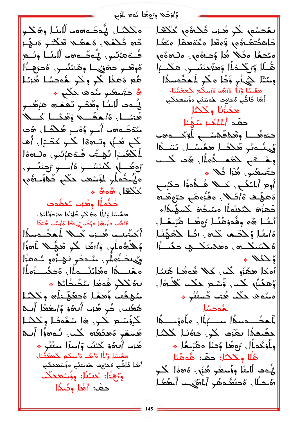وَأَوْحُدٌ وَرُوهُا مُوم لِمْوِمِ

وَكَلَكَمَا. فَيُوَضَّوووها لَّاسُلْ وِرَهُ كَلْسٍ دْه ئَكْمُلا. ەْھقَىلا ئْعَكْتْبْ ەْنْھَـٰ: ڤَــةهرُمُـر. ڮۛ۫ڡۘحُـــهڡ ٱلۡمُـُـا وِنُـــع ەُوھىر دەڧىل وھزىنىر. ەدرەخا ھُم ەُھجُا خُر مِحْرِ هُوصِبًا هُنَـُـُّا **ئُ دَ:ُسَعَمُبِ مُنُوهِ دَكْمٍ \*** لجٌـهت لَامنُـا وِهُتَــو نُـهـمْـه هزُهُــو هُذِيبًا. هُ/هڤُـــلاً وْقَدْتُــل كَـــلاً مَّةَدَّــه¤ما أُسر وٌةٌسم هُلاَشًا. ﴿ كُمْ هُـَىٰ وِتْـ10\$ كُـْمِ كَخْـَرَا. أُفْ لْمَكْتَبَرَا بُهِيَّبٍ هُـتَوْمُ بَيِّبٍ وَتَوَوَّا ۇەكىلې كانئىشىسو ةامسىر ترجئىشىر. وهُمشُولُهِ لِمُفْتَعَبِ حَكْمٍ خُلَاقُتُوهُ وَ  $\bullet$  000  $\sqrt{22}$ كُنُّه لُما وهُن مُحقَّوت همَّسُا وْاٰلِمَّا هِ هَٰكُر خَاوْخًا هَرَّحَٰزُلُكُمْ. هَاهُ حَبَّدَهَ الْمَتِيْنَ مَعْهُمَا وَهُمْ مَعْنَاهِ الْمَحْمَدِينَ أَكْتَزَمِلِيمَا هُلْيَوْمَا كَلْمَا الْمُعَشُّلُومَا وَالْمُؤْمَّ وَجْلاَٰوْہُ مِلۡی ۚ وَٱِالۡکَٰوۡ ۖ کُلِ شَوۡمَے ۖ لَا اُلۡوَوَّٰا وَيُعَصُّبُومَاً مِنْ مُصَحَّرٍ ثَنْهَــتُومِ شَــوْهَٰ;َا مشبسهُ المُعَالِمُسْمِلَالِ. هُجِمَّى الْمُسَوَّى ىغىخلار قەمدا مىڭىخائى ھ مَّجْعَب وَّهِمَّا هَجِعَجُ زَلَّٰہِ وِكْكَمَا هُهَّكِ . حُبِ هُٰذِ أَبِيهِ وَاعْقَالَ أَبِيهِ كْبِؤْسْطِ كُلّْرٍ. 16 سْعُوصًا وكْلَمَا كَعْسَفْرٍ هُمْتَكُمْلُهُ ۚ كُنْتَ رُبُّوهُ وَأَوْ أَيْتِكُمْ هُذِمَا أَلَيْهَا وَ كُنْتُكُمْ وَأَمَدْاً مَعْلُوا ﴾ همْسُل وْ).أَل هَ/هُب هَ/سكْم كَعِعْتُنْدَا. أَهُا دَاتَٰبِ ہَدوٗت حُمتنَٰبِ وَنُسْعدكَٰبِ وَأَجِزًا: كَتَبْتُلُا: وَوُسْعَدَكُتْ حفَّ: أَهُلَ وِصَّدًا

بِمُحِشَى لَحْرٍ هُـٰٓءَبِ ثَكْرُهُ ۚ لَاتَحْقَـٰلَ دْاهِثْتْهُدْهُو وُوْهْلْ وِيُتَوْهَلْ وَعْمُدْ ا مَحْمَا مِثْلًا هُا وُحِدَّةُهِ. مَلْـ20\$م ةُلْمَا وَّرَكْـمُاْ وَهتَكسُــرٍ. هكْـــَزَا ومَثَلًا ﴾ رُوُمُ أَصَلُ وَكُلَّ الْمَحْدِمِلَا هِمُسُلٍّ وَٱلْمَا هَاهُمَا هَامِكُمْ كَعِظَتُمَا. أَهُا دَٰاَضَّے ہٗدوٗہ حُمتنَٰے ہوَٰکَعدلکے هدُنُرُا وكلايا حقّ: ٱلْمَلَّكُ مَكْهُمَّا حنّهفُــــا وِثَعِكفَـمْنُـــبِ لِمُقِكَـــــــه فَي نَاء مَكْشًا هِمَّسُا. تَتَبَدُّا وهُــــةم لِمَعْمـــداُّه/. 7ه كَـــم |دَ أَمْسَعَمَى اللَّهُ مَثَلاً ﴾ أُومِ ٱلْمُكَبِ. كَمِلًا هُــدُّوزًا حَدَّبِبِ هُههُـُـْ هُ/كُــٰلاً . هِ فُنُوهُــ وَ وَ وَهْــِهِ تْحْفَرُهْ ۖ حَكْدَثُمَاْ الْمَمْحُرَةِ ۖ خَلْبَهُمَاءُ ۖ أَمِنُـا هَ وَقَوْدُهُنَـا رُوهُـا هَرُمُـا. ةُامِنًا وَحْشَم حْدهِ. ائْل حْقُدُنَا ەكسىك مى مەدىكك ئى ئىسى  $\ast$  Ville أَهْدًا هِفَنُو لَكَ . كَمَلا هُوهُما هَبْدًا وَهِئْشُ كَت. وَيْتَمْ حَكْتَ كَلَاهُ!. ەمئەھ ھكك ھُزىر كَسْلُلُو ﴾ هُ دَمُبال حفَّىھ\ا ىھَ;َد خُر. دەُنا خُلْمَا وِلُوْكُومُاْ. رُوهُا وَصُلْ وَهُبُمُا \* هُلَّا وِكْحَا: حقَّ: هُوهُنَا لْمُءَدَّ لَّامِلًا وِؤُسِعْدٍ هُنَّى ِ. هَ هَاهُ الْكُنْبِ هُ حَلّا . هَ حَنُعْـُـهِ عَلَى الْمَنْيَــِ أَعْمَعُـلْمَــلَّا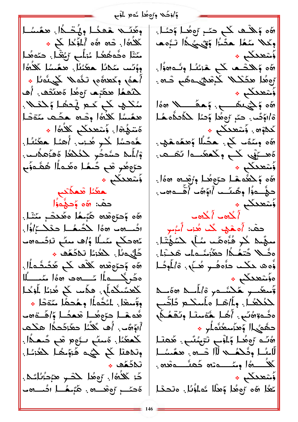وُأُوْحُلا وَرُوهُا شَهِ اوْمِ

وهَبَس هَعنَا وهُتَـدُا. محمَّسُـا كَلاُهُ أَ. دُه هُه أَلْمَؤُكُمْ كُمْ \* مَتْلَا وَدُوهُهُا مُرْأَىبٍ رَّيُقْاً. حَدَوهُا ووُلِّب مَكْمُلًا هَقَنُلًا. هَهُمُنًا كَلَاهُ! أههُم وبُمعدةُ مِ تَكْمِلاً لَكَيْتُمَالَ \* للفعُل ههُرُم رُوهُا هُمنُتُف. أُف سُنْدَجٍ كَمْ كَـْمْ هُـْمَمَّا وَجْنَدَلاً . همَّسُلَّ كَلاُهُ | وِتْــهِ هَــُـبَ مَّتَوْسًلُ ەتتۇۋا. ۆشقىكى كەۋا م هُوصمُل كُلِّ هُـزم. أَهمُـل ههَٰدُنُـل. وْٱلْمَامَ حِسَّوَجُوا حَكَلَهُا وَقَوْعِكَاتٍ. حرَّەمُدِ مْنِ شَمُّا ەمَّدَاْ هُڤُدَوُّن ۇشعدكىي ھ معَمَّا شمكَّتم حقَّدَ: 6ه وَحَوْقُوَّا هُه وُحرُوهُه هُبُعُا وهُدَهُرِ مَتْلَلٍ. ائىسەمە ھەلا كېڭىگىل ھېكىراۋل. كەتكى مُمَىلًا وُاف مىل ئائىتەھت خَايُدِنَا. خَصُّرْنَا تَمْخَمُّف \* ھُہ وُحرِّہِ مَدہ کُلُّف کُلِ مُحَمَّدُعاً!. وَحَرِيْـَـــواْ مُــــــوه وَوْا مَمْـــــلَّا كْعْشَنْدْلُمْ). فكأسا كُمْ هُزْمًا لِمُؤْمَـٰا وِؤْمِعْدَا. عَلَيْجُوعاً وِهُجِعَا مَنْوَجَا \* هُدهْـا دَوْهُـا هُعْـا وْاكْــة ه ٱرَوۡهَٰٮ ۚ. أَڡ ێۘٚڵۮٗا حعَٰ;ڬَحكُا هـْـُـْـڢ كْعَقْدًا. ەُسْبُ سۇۋە شَمْ شُعْدًا. وِتَمْعَنَا لَكُمْ حَيْءٍ فَوَصِّعًا حَمَّنَكَا. تككّف \* كَ; ݣْلَاهُا. رُوهُا كَشّْرِ مْزَحْزُنْائِكْ. 

هُه وُلِّلُّـْ لَكُمْ حَنْہِ رُوهُـا وَصُـاً. وكلا مَمْا حَثَمُ الْإِنْ وَيَحِيَىٰ الْأَوْهَى وُسْعِدْكُم \* هُه وُلِمَنْكُم لَكُمْ هُوَيُمُلُمْ وِشُمْحَوْلُ. رُومُا مَكَنَـْمًا كَـٰهِمْيَـٰمَمُّـعِ دَهِ. أؤشعدكم \* اَهُ مِنْ كَتَبِ مِنْ مَسْتَ مِنْ مَنْ مَنْ مَنْ مَنْ مَنْ مَنْ ةَ ابْوَّضَ حَمْرٍ رُوهُا وَحِبًا كَلَاحِدُّهِ هُـأَ **كْلاَوْهِ.** وَمْعْدَكْمِ \* هُه ومَدَّمَــ كَمْ. هشَاا وَهمَّمْهُمْ. ةهريق كم وكعقب التفرين ؤشعدكم \* هَه وَلَحْقُوهُا حَرَّوهُا وِرُهْدِهِ هَالَ. حؤُّےوُوا وِهُنَّے أَآوُهُ أَقْدِه، حقَّ: أَهِ هُلِي لَكَّبٍ هُزْمٍ أَمْرُمِ سۇبك كْبِ قُتْٯْھَب سُأَلِ كَسَوُّتْلَ. ەئَــلا تُتمُــدًا حعَّزُمْــولمــ ڤَعَــْزَلَم. ؤْهِ هَ حَكْمَدَ حَزْهِ قُبْرٍ وَالْمُؤْمَلُ الْمُؤْمَلُ ەؤشىدىكىي ھ وَّمكْسِ مُكْسُّدٍ وَٱلْمَكْلِّ هَامَ لحَكْتَحُلّ. وأَ/هَـا مأَسكـْم دُاتَـٰب ەئـەۋەئىم. أَهُـا حُقىىنْـا وِنَقْعُـكَمْ حَقَّهِ) | وَهُنُصْهُدَانِ \* هُنَّـه رُوهُـا وُلمْوْب تَوْمُنُــع . هَٰـمَـْـا لْلَعْسَا وِثْكُمُــــلا لْلا تْــــرە . مَكَسْسًا للأحدة اولئے عنوه كَعشَـــوهو . ۆشقىتكى ھ عَعْلِ هَو رُوهُا وَهِلَا عُمَلَوْنَا. وتحمَّل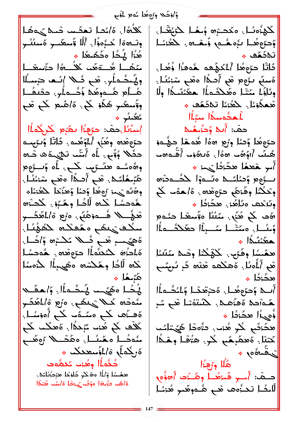وَأَوْحَىٰ وَرُوهُا مُوم لِمْوِ

لَحْمَٰلَ. هَٰٰہُنَا تَعَصَّبَ شَيْمَ يَاهُمْ وِلْــْ30 لَكَــَّادَوُّا }. ٱلْا وَّصْــَكْـــو هُصَلَّـُـو هُٰۥۢۢٳٖڸۘڂٳۄڂۜڠٞٮڠٳ؞ مَعُطَّ هُـــةهُد كَلُّــهُ احتُمِعْــا ويُحشَّملُو. هَم شَكا إِسُم حَبْساًا هُــأَمْ هُـــەوِهُدْ وَُــُـــەلُـرٍ. حثىفُــأ وتُسطَس ھُکُو گلی. ۃ/ھُنع گل شم ێڰ۫ٮڵؙ<del>ۭ</del> إستُطْ حقٍّ حرِّهِ الحَرْمِ كَرِجُهِمَا دَوْهُدُه وَهُنَّىٰ ٱلْمُؤَهَّدَةِ. ذُاتَا وَيَوْمِدُ حفُلا وُؤْبٍ. لَم أَسَّد لَكَن هُ عَاهَ شَهِ وِهُمْشُد هِنُّــرَبِ ۖ كُلَّــمٍ ﴾ لَمَا وَٱلْــرَّوِمِ هَبُعُلَّكُمْ. هُم أَصْلًا هِ هُمْ سْنِئْتُلْ. وهُنَّه يَسرُ رُوهُا وَمَنْا وَمَنْزَمَا لَحْمَٰنَاءُ هُوصُل كُلُّه لَّاكُمْ وِهُبُوْ. كُحِبْرُه هَيَّْـــلا ڤَـــوهُمِّ. ورُمِ وْالمُعَصَّـــو بالمهفك مكفذه بضرر عك هُهْهُمبِ هُبِ شُملاً مُكْتَبِهِ وَٱصَّلَٰہِ مُلْحَزُهَ ۖ كَمُدَنَّهُ أَلَّا حَرِّهِ هُدَهِ ۚ ۖ هُوحِسُلًا ۖ كله لأحُل وهَكْتُه وشَيْءِ أَلا كَوْمِنْدَا هُ هُما \* لكَهْدامْ بِالْمَكْنِينَ سَرِيْهُ٥ لِمُكْ مَدْدَه كَمَلا يَهْلَكُمْ مِنْهُمْ مِنْكُمْ مِنْ مَاسَمَةٌ ەُھىزُھە كُلّ مَمْــةُما كُلّ أُەفِسُل. كَلْفَ كَمْ هُنْ تَبْعَدًا. ەْھگْ كَمْ مُفْصَلِ مَغْسُلَ. فَقَصْلاً وُقْبَ ەربگەگم ۋايلۇمبىرىكك ھ كُنُّه لُما وهُنِ مُحَقَّدِ همَّسُا وْاٰلِمَّا هِ مَكْرٍ خَاوْخًا هَرَّحَزُنَاسًا. كَاهُد حَبَّدةَ الْمَجْمَدِ حَجَّدَا وَاسْتَ هُتِدًا

كْهِنُوسُا. وكُحِبْرُه وُحِمَّا كَرُبُغْدا. وَحرَهِ مُعالِمٌ مِمْسَمٍ وَمُسْمَدِهِ . لِلْمُحْزَمُنَا ثلاثكف \* ثَاتْا حرِّهِمُا ٱلمُكَهُّعِهِ هُوفُا ؤُهُلَ. ەُمىبُ ئۇۋەر ھُم أَصْدًا ەھْم شَرْسُلْ. وِتَاؤُلُم مِّنْتَا وَهَٰكُشُمَاْلِ هِعَٰنُتُمَّا وِلَا تَعمَكُوْمُا. لِكَفَرْمُا لَكَلَّصَفَ \* ألْمَدُّدْ الْمُدَارَّاتِ حقَّ: أَبِيهِ وَجَنْبِهُيهِ حرِّهِ هُدا وَحِمْا ووُمِ وَهُ السَّحْمَا حَذَّےوَ هُىفٌ أَآوٌهُ وَ وَهُ أَنْ وَلَوْوَ أَقَـٰدُوهَ أمو هَعَمُا هَدَّدَٰلٌ يَهُ: \* سؤوم وُصْلَهُ مَسْمَوْا كَشْمَعْتُوه وِيْكُمُا وِقَرْهَمْ حَرَّوْهُدِهِ ﴾ أُمْهَقَتْ لَمْ وِنَاتَكَ وَنَاهَٰذٍ. هَجَٰزُهُ \* هَد لَمْ هُزَى. مَمْلُلُ وَقُمِعْدَا حَدْوَم وَّسُــا. ومَتْنَــا مَـــراًا حعَكْشَــولُا حكْنُنْدُا \* همَّسُا وِهَرِّب. كَلْهَكْنَا وِصْلًا مَنْشَا هُم ٱلْمَالَا. هَعَلَّكُمَهُ هُنَّهُ ۖ ثُمَّ نُرِيمًى ۖ هڪُزگا ۽ أَسِمْ وَحَرَّوهُما. هُجْتِعْجُما وَلِمُحُسَماً! هُـهِ ٱحدٌ هَ هَزَهـدَ. حَثَبَتَهُـْمَـل هُـم حُـرِ وْهِيدًا هجّْدَدُا \* هدَٰئِم لُار هُند. دَّوْدًا هَيُتاسُد كتتل هُمعكَرِهُم كُر. هِ ُقَا وِهْكُل \* Joôner هُلًا وَرَجْبًا حــف: أُســرٍ قَــزهُـــا وِهَــْزَت أَهوَّهِ، لَّاحُـا نَـدَّەھَ ھُـع ھُـوهِمْسِ هُـزُـُـا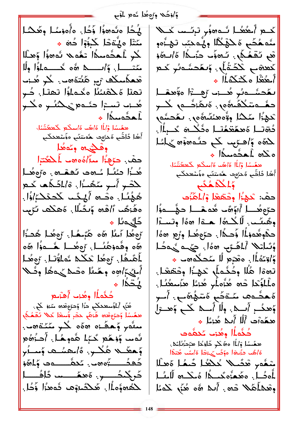وُأُوْحُلا وَرُوهُا شَوْمِ لِمُوْمِ

لْهَجَا وَثَوْهُوْا وَّجُا. وأُووْمُا وِهَٰكُمَا مَثَا هِ يُّقِصًا لِكَرْؤُوا دُهَ ﴾ لَكُمْ يُرْجَعُهُمْ الْمُفْعَةِ يُوْمِنُواْ وَجَدَانَا مَنْتَ لِي وَ} اللَّهُ مَنْ مَنْ الْمَسْمَلَوْا وِلًا ئْعْمَلْمْىكُكْ رْبِرْ هَنْتْفَادْفْ. ݣُلْ هُـْزْمْ تعقا ەَلاھْىنْدا ەڭتماۋا تىھقا. خُىر هُن، تسترا حنَّــه و پَــحَنَّــُــو مَحْــو أعدُه مدار \* همَّسُا وْالْمَا هَاهُم هَاسْكُمْ كَعْعَتْمَا. أَهُا دَّاضَّے ہَٰدَیۡت حَقَصَیۡے ہِ مُسْتَمَدِکَنِے وقلثيره وتموها حقّ حرِّهِ المسَّلِّهُ معالَمُ الْمَعْتِدَا هُــزُا دَنُـُـا ـُــهِ تَــهُــهِ . هَرُوهُــا لِكْتُبِ أُسِي مُّتَعُمَّاً. ةَالْمُكَلِّفَ كُنْعَ هُوُبُلُّا. ەتىھ آُلِيگَى كُحِنْكُرُاوُّا. ەھَزْھُد ٱ)قْلَا وُنشُلًا. ەُھڭگ ئۇب ځان مرناخ رُوهُا أَمِلًا هُو هَٰٓبُهُا. رُوهُا هُصَرَٰا ھَە وِقُەزەمُنُــا. رُوھُـــا ھُـــەزُا ھَە لَمُعَفَّل رُوهُا تَعَكُّكُمْ شَاوُّلْي رُوهُـا أستام لمفصر ممده المدهم ومالإريدأ بَخْدًا \* حُذُه أُل وهُن، أُهْنُوم ِ هُنَّهُ ٱللزَّمنِعَدَكَنِ ۚ ذَا وَجَرَّةِهُدَاهُ مَنْهُمْ كَلَى .<br>هِمُسُلٍ وَجَرَّةِهُدَاهِ أَوْجَعَ حَجَّرٍ وَمَنْقَلِ كَلا يُتَعَمُّكُمْ مىلەر ۋھكنە «ەە كىر مىڭە«م. تُەمب وٌوْهُمْ كَتَبُلُّ هُومِهُلْ. أَحَدُّوْهُمْ وَّههُـــلا هُكْـــو. ةَامْعْشُــتْ وَمَسْأَو كُهدُ ۖ يُوهب. كَحَفْـــــوف وُلْمَوْوْ كُرِيْكْتُــــــو. هُعفَـــــــت كُلُفُــــا ِكْتُوهِ وَمَأَلٍ. هُكْتُبَاوْها ۖ ثُوهدُ أَوْجًا .

كُمِ أَيْتُلُمُمُ لَمُ اللَّهِ مِنْهُمْ إِنَّهُمْ لَمِيهِ كَمِيلًا مَتْدَهَّكَ وَحَكَمَكُمْ وَكَسَمَتُ لِكَنَّوَهِ هْمِ نَفْعُكُمْ. نُـهوَّب حَزْمـكَا هَ/سوَّو كَعَدْهُ بِ كَكُنُّهُ) . وُبِمُحَمَّدَتُو كَنْ عَ أَحْقُلُه مَكْتَكُمُ أَلْفَ يَجْتَ بمُحشَّــوبُر هُـــزب رُهِـــٰٓزَا وَوَّهِــَــا حمُّــەننىڭگىشەن ، رەشۇشــە كىــو تَدْمَٰزُا مَكْمًا وِوُّەھلىنىۋەب. بەشمەر دُةتا ەَھكَعْمُتْا ەئْكْمْ كْجِلْل لَاهُهِ وَاصِعُهَا لَكُمْ حِنَّهُ وَقَدْ كَلَّاسًا « Kusaal olo همُسُا وْالْمَا هَاهُمْ هَاسْكُمْ كَعْعَتْمَا. أَهُا دَّاتَّبِ هَد<sub>َّ</sub>وت هُمتنَّبِ وَفَسْعدكَب وَالْحُدْمُنَى حف: ثَكِيُّ وَفَقَعْا وْالْمَنَّف دَوْهِ الْمَرْهُد هُدهـا دَهْــــهُوَّا وهُيِّب، لَٰٓالِكُنَّةُ الْحَسَّةُ الْعَامُونُ الْمَسْتَرَا حَدَّوِهُدولُمَّا وُحِـدًا. حَرَّوهُــا وِرُو هَا وُتَماتِكُمْ أَمْلَاتُهِمْ بِهِ مَارِيهِ مَنْ مِنْ الْمَالِمَةِ وَ وُ/وَكَفَلًا. وَهُرَمِ لَّا سَكَدْوِهِ \* تَوهَا هُلًا وِحُثُم} تَكُوخُا وِحْقَقَا. مْلَاؤْتْدا دْه هُزّْمِلُر هُزْمُا هزَٰمِعْنُال. ەْھھەم مەتەكىم ەتتىھەمى . آسو وَهجُم أَسِيءَ. وَلَا أَسِيهَ كُمْ وَهِيْوَلَ ههُوآب أَلَّا أَبِي هُزِيَا ﴾ كُنْمَلَٰا وِهُنِي مُحَقَّمِد همُسُا وْالْمَا مَعَكُر كَاوْكَا هَرْدُنَّائِهِ. أَمَّنَّ مَثَّدَهُ الْمَجْمَعُ مِنْ الْمَدَّةِ الْمَحْمَدِينَ شَهُّم تْتَمَـٰلا مُلْحُداً تُـٰهُـاً هَعْلَا لْمَصْلَ مِعْمَّوْمَكْنَــدًا مُنْكَــرَة لَّاسُــل وِهْدْلُمَّلا دُهِ. أَبْدْ هُو هُنَّى كَدْمَا